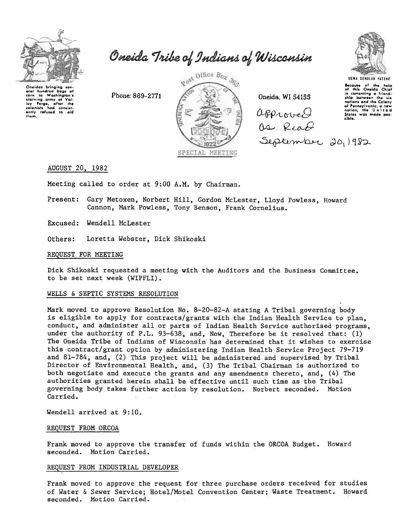

Oneida Tribe of Indians of Wisconsin

Oneidas bringing sevhundred boas eral corn to Washington's corn to Washington's<br>starving army of Val-<br>ley Forge, after the<br>colonists had consist-<br>ently refused to aid<br>them.

Phone: 869-2771



Oneida, WI 54155 approved as Read September 20, 1982



**UGWA DENOLUN YATENE Secause** of the help<br>of this Oneida Chief in comenting a friendnations and the Colony of Pennsylvania, a new States was made pos-Lible.

# AUGUST 20, 1982

Meeting called to order at 9:00 A.M. by Chairman.

Present: Gary Metoxen, Norbert Hill, Gordon McLester, Lloyd Powless, Howard Cannon, Mark Powless, Tony Benson, Frank Cornelius.

Excused: Wendell McLester

Others: Loretta Webster, Dick Shikoski

#### REQUEST FOR MEETING

Dick Shikoski requested a meeting with the Auditors and the Business Committee. to be set next week (WIPFLI).

### WELLS & SEPTIC SYSTEMS RESOLUTION

Mark moved to approve Resolution No. 8-20-82-A stating A Tribal governing body is eligible to apply for contracts/grants with the Indian Health Service to plan. conduct, and administer all or parts of Indian Health Service authorised programs, under the authority of P.L. 93-638, and, Now, Therefore be it resolved that: (1) The Oneida Tribe of Indians of Wisconsin has determined that it wishes to exercise this contract/grant option by administering Indian Health Service Project 79-719 and 81-784, and, (2) This project will be administered and supervised by Tribal Director of Environmental Health, and, (3) The Tribal Chairman is authorized to both negotiate and execute the grants and any amendments thereto, and, (4) The authorities granted herein shall be effective until such time as the Tribal governing body takes further action by resolution. Norbert seconded. Motion Carried.

Wendell arrived at 9:10.

# REQUEST FROM ORCOA

Frank moved to approve the transfer of funds within the ORCOA Budget. Howard seconded. Motion Carried.

### REQUEST FROM INDUSTRIAL DEVELOPER

Frank moved to approve the request for three purchase orders received for studies of Water & Sewer Service; Hotel/Motel Convention Center; Waste Treatment. Howard seconded. Motion Carried.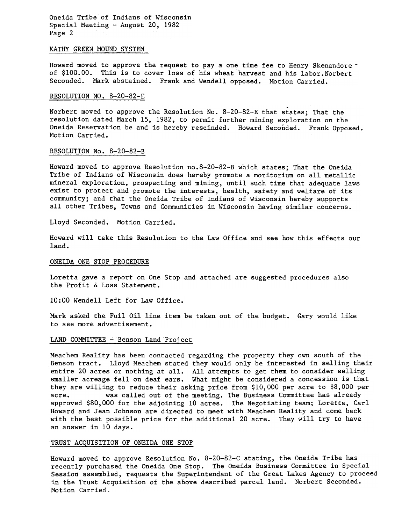Oneida Tribe of Indians of Wisconsin Special Meeting - August 20, 1982<br>Page 2

#### KATHY GREEN MOUND SYSTEM

Howard moved to approve the request to pay a one time fee to Henry Skenandoreof \$100.00. This is to cover loss of his wheat harvest and his 1abor.Norbert Seconded. Mark abstained. Frank and Wendell opposed. Motion Carried.

# RESOLUTION NO. 8-20-82-E

Norbert moved to approve the Resolution No. 8-20-82-E that states; That the resolution dated March 15, 1982, to permit further mining exploration on the Oneida Reservation be and is hereby rescinded. Howard Seconded. Frank Opposed. Motion Carried.

# RESOLUTION No. 8-20-82-B

Howard moved to approve Resolution no.8-20-82-B which states; That the Oneida Tribe of Indians of Wisconsin does hereby promote a moritorium on all metallic mineral exploration, prospecting and mining, until such time that adequate laws exist to protect and promote the interests, health, safety and welfare of its community; and that the Oneida Tribe of Indians of Wisconsin hereby supports all other Tribes, Towns and Communities in Wisconsin having similar concerns.

Lloyd Seconded. Motion Carried.

Howard will take this Resolution to the Law Office and see how this effects our land.

# ONEIDA ONE STOP PROCEDURE

Loretta gave a report on One Stop and attached are suggested procedures also the Profit & Loss Statement.

10:00 Wendell Left for Law Office.

Mark asked the Fuil Oil line item be taken out of the budget. Gary would like to see more advertisement.

# LAND COMMITTEE - Benson Land Project

Meachem Reality has been contacted regarding the property they own south of the Benson tract. Lloyd Meachem stated they would only be interested in selling their entire 20 acres or nothing at all. All attempts to get them to consider selling smaller acreage fell on deaf ears. What might be considered a concession is that they are willing to reduce their asking price from \$10,000 per acre to \$8,000 per acre. was called out of the meeting. The Business Committee has already approved \$80,000 for the adjoining 10 acres. The Negotiating team; Loretta, Carl Howard and Jean Johnson are directed to meet with Meachem Reality and come back with the best possible price for the additional 20 acre. They will try to have an answer in 10 days.

#### TRUST ACQUISITION OF ONEIDA ONE STOP

Howard moved to approve Resolution No. 8-20-82-C stating, the Oneida Tribe has recently purchased the Oneida One Stop. The Oneida Business Committee in Special Session assembled, requests the Superintendant of the Great Lakes Agency to proceed in the Trust Acquisition of the above described parcel land. Norbert Seconded. Motion Carried.